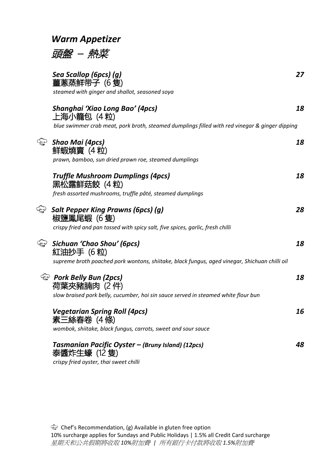### *Warm Appetizer*



|                | Sea Scallop (6pcs) (g)<br>薑蔥蒸鲜带子 (6 隻)                                                         | 27 |
|----------------|------------------------------------------------------------------------------------------------|----|
|                | steamed with ginger and shallot, seasoned soya                                                 |    |
|                | Shanghai 'Xiao Long Bao' (4pcs)<br>上海小籠包 (4 粒)                                                 | 18 |
|                | blue swimmer crab meat, pork broth, steamed dumplings filled with red vinegar & ginger dipping |    |
| $\mathbb{R}^2$ | <b>Shao Mai (4pcs)</b><br>鲜蝦燒賣 (4粒)                                                            | 18 |
|                | prawn, bamboo, sun dried prawn roe, steamed dumplings                                          |    |
|                | <b>Truffle Mushroom Dumplings (4pcs)</b><br>黑松露鮮菇餃 (4 粒)                                       | 18 |
|                | fresh assorted mushrooms, truffle pâté, steamed dumplings                                      |    |
|                | $\mathcal{L}$ Salt Pepper King Prawns (6pcs) (g)<br>椒鹽鳳尾蝦 (6隻)                                 | 28 |
|                | crispy fried and pan tossed with spicy salt, five spices, garlic, fresh chilli                 |    |
|                | Sichuan 'Chao Shou' (6pcs)<br>紅油抄手 (6 粒)                                                       | 18 |
|                | supreme broth poached pork wontons, shiitake, black fungus, aged vinegar, Shichuan chilli oil  |    |
|                | <b>Pork Belly Bun (2pcs)</b><br>荷葉夾豬腩肉 (2件)                                                    | 18 |
|                | slow braised pork belly, cucumber, hoi sin sauce served in steamed white flour bun             |    |
|                | <b>Vegetarian Spring Roll (4pcs)</b><br>素三絲春卷 (4 條)                                            | 16 |
|                | wombok, shiitake, black fungus, carrots, sweet and sour sauce                                  |    |
|                | Tasmanian Pacific Oyster - (Bruny Island) (12pcs)<br>泰醬炸生蠔 (12 隻)                              | 48 |
|                | crispy fried oyster, thai sweet chilli                                                         |    |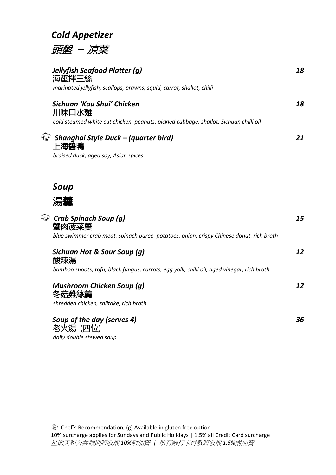### *Cold Appetizer*

頭盤 – 凉菜

| Jellyfish Seafood Platter (g)<br>海蜇拌三絲<br>marinated jellyfish, scallops, prawns, squid, carrot, shallot, chilli              | 18 |
|------------------------------------------------------------------------------------------------------------------------------|----|
| Sichuan 'Kou Shui' Chicken<br>川味口水雞<br>cold steamed white cut chicken, peanuts, pickled cabbage, shallot, Sichuan chilli oil | 18 |
| Shanghai Style Duck - (quarter bird)<br>上海醬鴨<br>braised duck, aged soy, Asian spices                                         | 21 |
| Soup                                                                                                                         |    |
| 澢虀                                                                                                                           |    |
| Crab Spinach Soup (g)<br>blue swimmer crab meat, spinach puree, potatoes, onion, crispy Chinese donut, rich broth            | 15 |

| Sichuan Hot & Sour Soup (g)<br>酸辣湯                                                         | 12 |
|--------------------------------------------------------------------------------------------|----|
| bamboo shoots, tofu, black fungus, carrots, egg yolk, chilli oil, aged vinegar, rich broth |    |
|                                                                                            |    |

*Mushroom Chicken Soup (g) 12* 冬菇雞絲羹 *shredded chicken, shiitake, rich broth Soup of the day (serves 4) 36* 老火湯 (四位)

*daily double stewed soup*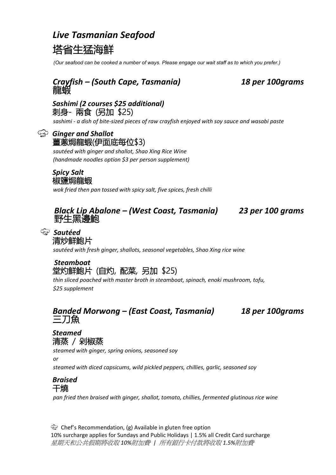### *Live Tasmanian Seafood*



*(Our seafood can be cooked a number of ways. Please engage our wait staff as to which you prefer.)* 

# *Crayfish – (South Cape, Tasmania) 18 per 100grams* 龍蝦

### *Sashimi (2 courses \$25 additional)* 刺身- 兩食 (另加 \$25)

*sashimi - a dish of bite-sized pieces of raw crayfish enjoyed with soy sauce and wasabi paste*

#### *Ginger and Shallot* 薑蔥焗龍蝦(伊面底每位\$3)

*sautéed with ginger and shallot, Shao Xing Rice Wine (handmade noodles option \$3 per person supplement)*

### *Spicy Salt* 椒鹽焗龍蝦

*wok fried then pan tossed with spicy salt, five spices, fresh chilli*

# *Black Lip Abalone – (West Coast, Tasmania) <sup>23</sup> per 100 grams* 野生黑邊鮑

### *Sautéed*  清炒鮮鮑片

*sautéed with fresh ginger, shallots, seasonal vegetables, Shao Xing rice wine*

### *Steamboat*  堂灼鮮鮑片 (自灼, 配菜, 另加 \$25)

*thin sliced poached with master broth in steamboat, spinach, enoki mushroom, tofu, \$25 supplement*

# *Banded Morwong – (East Coast, Tasmania) 18 per 100grams* 三刀魚

### *Steamed* 清蒸 / 剁椒蒸

*steamed with ginger, spring onions, seasoned soy* 

*or*

*steamed with diced capsicums, wild pickled peppers, chillies, garlic, seasoned soy*

### *Braised* 干燒

*pan fried then braised with ginger, shallot, tomato, chillies, fermented glutinous rice wine*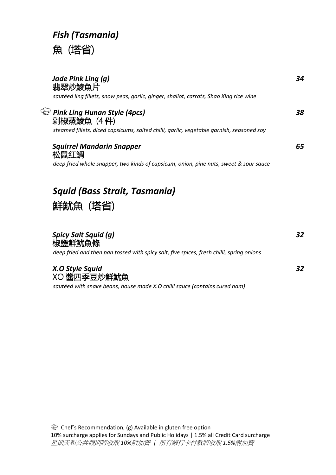# *Fish (Tasmania)* 魚 (塔省)

| Jade Pink Ling (g)<br>翡翠炒鯪魚片<br>sautéed ling fillets, snow peas, garlic, ginger, shallot, carrots, Shao Xing rice wine                 | 34 |
|----------------------------------------------------------------------------------------------------------------------------------------|----|
| Pink Ling Hunan Style (4pcs)<br>剁椒蒸鯪魚 (4件)<br>steamed fillets, diced capsicums, salted chilli, garlic, vegetable garnish, seasoned soy | 38 |
| <b>Squirrel Mandarin Snapper</b><br>松鼠红鲷<br>deep fried whole snapper, two kinds of capsicum, onion, pine nuts, sweet & sour sauce      |    |

# *Squid (Bass Strait, Tasmania)*



### *Spicy Salt Squid (g) 32* 椒鹽鮮鱿魚條 *deep fried and then pan tossed with spicy salt, five spices, fresh chilli, spring onions X.O Style Squid 32* XO 醬四季豆炒鮮魷魚

*sautéed with snake beans, house made X.O chilli sauce (contains cured ham)*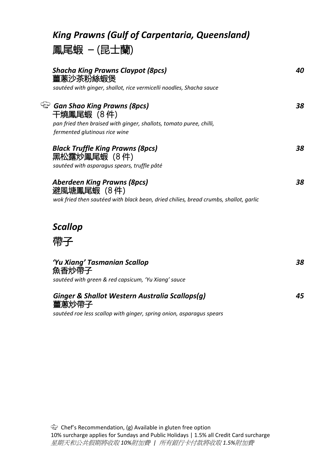# *King Prawns (Gulf of Carpentaria, Queensland)*

# 鳳尾蝦 – (昆士蘭)

| <b>Shacha King Prawns Claypot (8pcs)</b><br>薑蔥沙茶粉絲蝦煲                                                                                                           | 40 |
|----------------------------------------------------------------------------------------------------------------------------------------------------------------|----|
| sautéed with ginger, shallot, rice vermicelli noodles, Shacha sauce                                                                                            |    |
| <sup>4</sup> Gan Shao King Prawns (8pcs)<br>干燒鳳尾蝦 (8件)<br>pan fried then braised with ginger, shallots, tomato puree, chilli,<br>fermented glutinous rice wine | 38 |
| <b>Black Truffle King Prawns (8pcs)</b><br>黑松露炒鳳尾蝦 (8件)<br>sautéed with asparagus spears, truffle pâté                                                         | 38 |
| <b>Aberdeen King Prawns (8pcs)</b><br>避風塘鳳尾蝦(8件)<br>wok fried then sautéed with black bean, dried chilies, bread crumbs, shallot, garlic                       | 38 |
| <b>Scallop</b><br>帶子                                                                                                                                           |    |
| 'Yu Xiang' Tasmanian Scallop<br>魚香炒帶子<br>sautéed with green & red capsicum, 'Yu Xiang' sauce                                                                   | 38 |
| Ginger & Shallot Western Australia Scallops(g)<br>薑蔥炒帶子                                                                                                        | 45 |

*sautéed roe less scallop with ginger, spring onion, asparagus spears*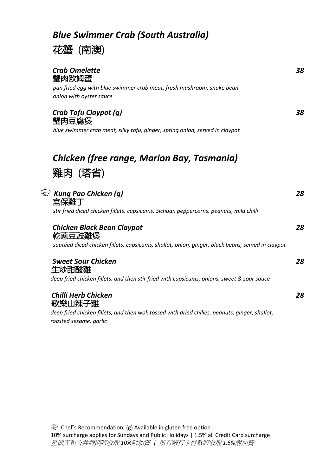# *Blue Swimmer Crab (South Australia)*



| <b>Crab Omelette</b><br>蟹肉欧姆蛋<br>pan fried egg with blue swimmer crab meat, fresh mushroom, snake bean                  | 38 |
|-------------------------------------------------------------------------------------------------------------------------|----|
| onion with oyster sauce                                                                                                 |    |
| Crab Tofu Claypot (g)<br>蟹肉豆腐煲                                                                                          | 38 |
| blue swimmer crab meat, silky tofu, ginger, spring onion, served in claypot                                             |    |
|                                                                                                                         |    |
| Chicken (free range, Marion Bay, Tasmania)                                                                              |    |
| 雞肉(塔省)                                                                                                                  |    |
|                                                                                                                         |    |
| <b>&amp; Kung Pao Chicken (g)</b><br>宮保雞丁                                                                               | 28 |
| stir fried diced chicken fillets, capsicums, Sichuan peppercorns, peanuts, mild chilli                                  |    |
| <b>Chicken Black Bean Claypot</b><br>乾蔥豆豉雞煲                                                                             | 28 |
| sautéed diced chicken fillets, capsicums, shallot, onion, ginger, black beans, served in claypot                        |    |
| <b>Sweet Sour Chicken</b><br>生炒甜酸雞                                                                                      | 28 |
| deep fried chicken fillets, and then stir fried with capsicums, onions, sweet & sour sauce                              |    |
| <b>Chilli Herb Chicken</b><br>歌樂山辣子雞                                                                                    | 28 |
| deep fried chicken fillets, and then wok tossed with dried chilies, peanuts, ginger, shallot,<br>roasted sesame, garlic |    |
|                                                                                                                         |    |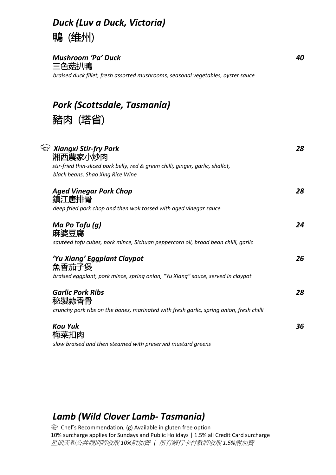# *Duck (Luv a Duck, Victoria)* 鴨 (维州)

*Mushroom 'Pa' Duck 40* 三色菇扒鴨 *braised duck fillet, fresh assorted mushrooms, seasonal vegetables, oyster sauce* 

*Pork (Scottsdale, Tasmania)* 

豬肉 (塔省)

| <i><b>&amp; Xiangxi Stir-fry Pork</b></i><br>湘西農家小炒肉                                    | 28 |
|-----------------------------------------------------------------------------------------|----|
| stir-fried thin-sliced pork belly, red & green chilli, ginger, garlic, shallot,         |    |
| black beans, Shao Xing Rice Wine                                                        |    |
| <b>Aged Vinegar Pork Chop</b><br>鎮江唐排骨                                                  | 28 |
| deep fried pork chop and then wok tossed with aged vinegar sauce                        |    |
| Ma Po Tofu $(g)$<br>麻婆豆腐                                                                | 24 |
| sautéed tofu cubes, pork mince, Sichuan peppercorn oil, broad bean chilli, garlic       |    |
| 'Yu Xiang' Eggplant Claypot<br>魚香茄子煲                                                    | 26 |
| braised eggplant, pork mince, spring onion, "Yu Xiang" sauce, served in claypot         |    |
| <b>Garlic Pork Ribs</b><br>秘製蒜香骨                                                        | 28 |
| crunchy pork ribs on the bones, marinated with fresh garlic, spring onion, fresh chilli |    |
| <b>Kou Yuk</b>                                                                          | 36 |
| 梅菜扣肉                                                                                    |    |
| slow braised and then steamed with preserved mustard greens                             |    |

## *Lamb (Wild Clover Lamb- Tasmania)*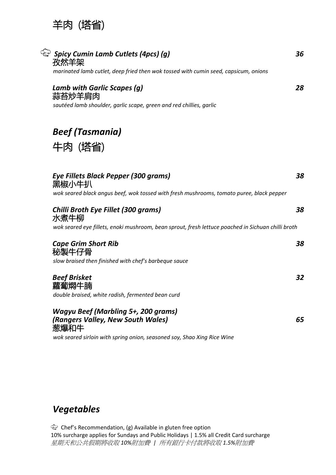

| Spicy Cumin Lamb Cutlets (4pcs) (g)<br>孜然羊架                                                                                                      | 36 |
|--------------------------------------------------------------------------------------------------------------------------------------------------|----|
| marinated lamb cutlet, deep fried then wok tossed with cumin seed, capsicum, onions                                                              |    |
| Lamb with Garlic Scapes (g)<br>蒜苔炒羊肩肉<br>sautéed lamb shoulder, garlic scape, green and red chillies, garlic                                     | 28 |
| <b>Beef (Tasmania)</b>                                                                                                                           |    |
| 牛肉(塔省)                                                                                                                                           |    |
| <b>Eye Fillets Black Pepper (300 grams)</b><br>黑椒小牛扒<br>wok seared black angus beef, wok tossed with fresh mushrooms, tomato puree, black pepper | 38 |
| <b>Chilli Broth Eye Fillet (300 grams)</b><br>水煮牛柳                                                                                               | 38 |
| wok seared eye fillets, enoki mushroom, bean sprout, fresh lettuce poached in Sichuan chilli broth                                               |    |
| <b>Cape Grim Short Rib</b><br>秘製牛仔骨<br>slow braised then finished with chef's barbeque sauce                                                     | 38 |
| <b>Beef Brisket</b><br>蘿蔔燜牛腩<br>double braised, white radish, fermented bean curd                                                                | 32 |
| <b>Wagyu Beef (Marbling 5+, 200 grams)</b><br>(Rangers Valley, New South Wales)<br>葱爆和牛                                                          | 65 |
| wok seared sirloin with spring onion, seasoned soy, Shao Xing Rice Wine                                                                          |    |

## *Vegetables*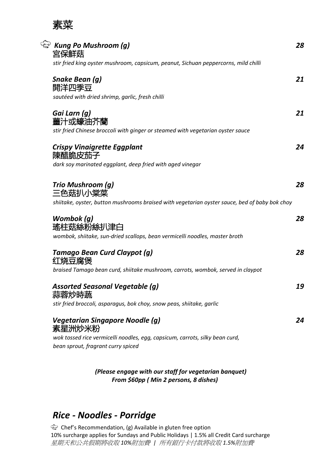

| <b>&amp; Kung Po Mushroom (g)</b><br>宮保鮮菇                                                     | 28 |
|-----------------------------------------------------------------------------------------------|----|
| stir fried king oyster mushroom, capsicum, peanut, Sichuan peppercorns, mild chilli           |    |
| Snake Bean (g)<br>開洋四季豆<br>sautéed with dried shrimp, garlic, fresh chilli                    | 21 |
|                                                                                               |    |
| Gai Larn (g)<br>薑汁或蠔油芥蘭                                                                       | 21 |
| stir fried Chinese broccoli with ginger or steamed with vegetarian oyster sauce               |    |
| <b>Crispy Vinaigrette Eggplant</b><br>陳醋脆皮茄子                                                  | 24 |
| dark soy marinated eggplant, deep fried with aged vinegar                                     |    |
| Trio Mushroom (g)<br>三色菇扒小棠菜                                                                  | 28 |
| shiitake, oyster, button mushrooms braised with vegetarian oyster sauce, bed of baby bok choy |    |
| Wombok (g)<br>瑤柱菇絲粉絲扒津白                                                                       | 28 |
| wombok, shiitake, sun-dried scallops, bean vermicelli noodles, master broth                   |    |
| Tamago Bean Curd Claypot (g)<br>红烧豆腐煲                                                         | 28 |
| braised Tamago bean curd, shiitake mushroom, carrots, wombok, served in claypot               |    |
| <b>Assorted Seasonal Vegetable (g)</b><br>蒜蓉炒時疏                                               | 19 |
| stir fried broccoli, asparagus, bok choy, snow peas, shiitake, garlic                         |    |
| <b>Vegetarian Singapore Noodle (g)</b><br>素星洲炒米粉                                              | 24 |
| wok tossed rice vermicelli noodles, egg, capsicum, carrots, silky bean curd,                  |    |
| bean sprout, fragrant curry spiced                                                            |    |
| (Please engage with our staff for vegetarian banquet)                                         |    |

### *From \$60pp ( Min 2 persons, 8 dishes)*

### *Rice - Noodles - Porridge*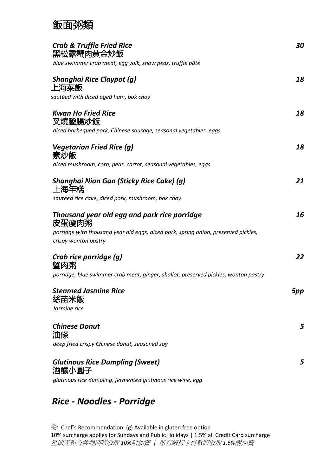# 飯面粥類

| <b>Crab &amp; Truffle Fried Rice</b><br>黑松露蟹肉黄金炒飯                                   | 30  |
|-------------------------------------------------------------------------------------|-----|
| blue swimmer crab meat, egg yolk, snow peas, truffle pâté                           |     |
| <b>Shanghai Rice Claypot (g)</b><br>上海菜飯                                            | 18  |
| sautéed with diced aged ham, bok choy                                               |     |
| <b>Kwan Ho Fried Rice</b><br>叉燒臘腸炒飯                                                 | 18  |
| diced barbequed pork, Chinese sausage, seasonal vegetables, eggs                    |     |
| <b>Vegetarian Fried Rice (g)</b><br>素炒飯                                             | 18  |
| diced mushroom, corn, peas, carrot, seasonal vegetables, eggs                       |     |
| Shanghai Nian Gao (Sticky Rice Cake) (g)<br>上海年糕                                    | 21  |
| sautéed rice cake, diced pork, mushroom, bok choy                                   |     |
| Thousand year old egg and pork rice porridge<br>皮蛋瘦肉粥                               | 16  |
| porridge with thousand year old eggs, diced pork, spring onion, preserved pickles,  |     |
| crispy wonton pastry                                                                |     |
| Crab rice porridge (g)<br>蟹肉粥                                                       | 22  |
| porridge, blue swimmer crab meat, ginger, shallot, preserved pickles, wonton pastry |     |
| Steamed Jasmine Rice<br>絲苗米飯                                                        | 5pp |
| Jasmine rice                                                                        |     |
| <b>Chinese Donut</b><br>油條                                                          | 5   |
| deep fried crispy Chinese donut, seasoned soy                                       |     |
| <b>Glutinous Rice Dumpling (Sweet)</b><br>酒釀小圓子                                     | 5   |
| glutinous rice dumpling, fermented glutinous rice wine, egg                         |     |

# *Rice - Noodles - Porridge*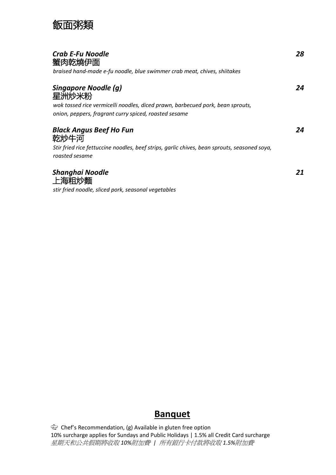## 飯面粥類

| <b>Crab E-Fu Noodle</b><br>蟹肉乾燒伊面<br>braised hand-made e-fu noodle, blue swimmer crab meat, chives, shiitakes                                                            | 28 |
|--------------------------------------------------------------------------------------------------------------------------------------------------------------------------|----|
| Singapore Noodle (g)<br>星洲炒米粉<br>wok tossed rice vermicelli noodles, diced prawn, barbecued pork, bean sprouts,<br>onion, peppers, fragrant curry spiced, roasted sesame | 24 |
| <b>Black Angus Beef Ho Fun</b><br>乾炒牛河<br>Stir fried rice fettuccine noodles, beef strips, garlic chives, bean sprouts, seasoned soya,<br>roasted sesame                 | 24 |
| Shanghai Noodle<br>上海粗炒麵<br>stir fried noodle, sliced pork, seasonal vegetables                                                                                          | 21 |

### **Banquet**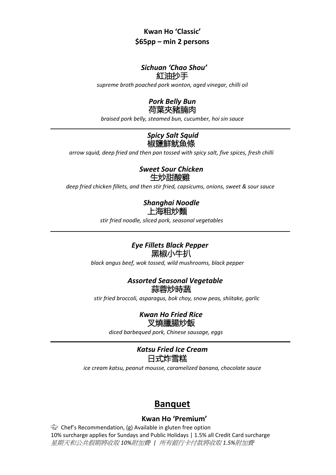### **Kwan Ho 'Classic' \$65pp – min 2 persons**

### *Sichuan 'Chao Shou'* 紅油抄手

*supreme broth poached pork wonton, aged vinegar, chilli oil*



*braised pork belly, steamed bun, cucumber, hoi sin sauce*

### *Spicy Salt Squid* 椒鹽鮮鱿魚條

 *arrow squid, deep fried and then pan tossed with spicy salt, five spices, fresh chilli*

*Sweet Sour Chicken* 生炒甜酸雞

*deep fried chicken fillets, and then stir fried, capsicums, onions, sweet & sour sauce*

#### *Shanghai Noodle* 上海粗炒麵

*stir fried noodle, sliced pork, seasonal vegetables*

### *Eye Fillets Black Pepper* 黑椒小牛扒

*black angus beef, wok tossed, wild mushrooms, black pepper*

### *Assorted Seasonal Vegetable* 蒜蓉炒時蔬

*stir fried broccoli, asparagus, bok choy, snow peas, shiitake, garlic*

#### *Kwan Ho Fried Rice* 叉燒臘腸炒飯

*diced barbequed pork, Chinese sausage, eggs*

#### *Katsu Fried Ice Cream* 日式炸雪糕

*ice cream katsu, peanut mousse, caramelized banana, chocolate sauce*

### **Banquet**

#### **Kwan Ho 'Premium'**